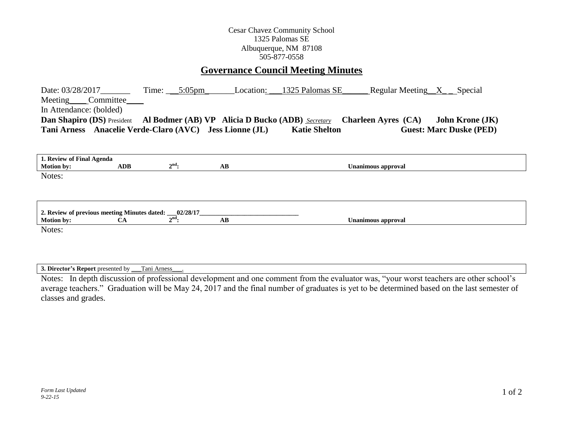## Cesar Chavez Community School 1325 Palomas SE Albuquerque, NM 87108 505-877-0558

# **Governance Council Meeting Minutes**

| Date: $03/28/2017$<br>Meeting Committee<br>In Attendance: (bolded)                 |            | Time: $5:05 \text{pm}$ | Location:              | 1325 Palomas SE      |                            | Regular Meeting $X$ Special |                                |
|------------------------------------------------------------------------------------|------------|------------------------|------------------------|----------------------|----------------------------|-----------------------------|--------------------------------|
| <b>Dan Shapiro (DS)</b> President Al Bodmer (AB) VP Alicia D Bucko (ADB) Secretary |            |                        |                        |                      | <b>Charleen Ayres (CA)</b> |                             | <b>John Krone (JK)</b>         |
| Tani Arness Anacelie Verde-Claro (AVC) Jess Lionne (JL)                            |            |                        |                        | <b>Katie Shelton</b> |                            |                             | <b>Guest: Marc Duske (PED)</b> |
|                                                                                    |            |                        |                        |                      |                            |                             |                                |
| 1. Review of Final Agenda                                                          |            |                        |                        |                      |                            |                             |                                |
| <b>Motion by:</b>                                                                  | <b>ADB</b> | $2nd$ :                | AB                     |                      | <b>Unanimous approval</b>  |                             |                                |
| Notes:                                                                             |            |                        |                        |                      |                            |                             |                                |
|                                                                                    |            |                        |                        |                      |                            |                             |                                |
| 2. Review of previous meeting Minutes dated: 02/28/17                              |            |                        |                        |                      |                            |                             |                                |
| <b>Motion by:</b>                                                                  | CA         | $2^{\text{nd}}$ :      | $\mathbf{A}\mathbf{B}$ |                      | <b>Unanimous approval</b>  |                             |                                |
| Notes:                                                                             |            |                        |                        |                      |                            |                             |                                |

**3. Director's Report** presented by \_\_\_Tani Arness\_\_\_.

Notes: In depth discussion of professional development and one comment from the evaluator was, "your worst teachers are other school's average teachers." Graduation will be May 24, 2017 and the final number of graduates is yet to be determined based on the last semester of classes and grades.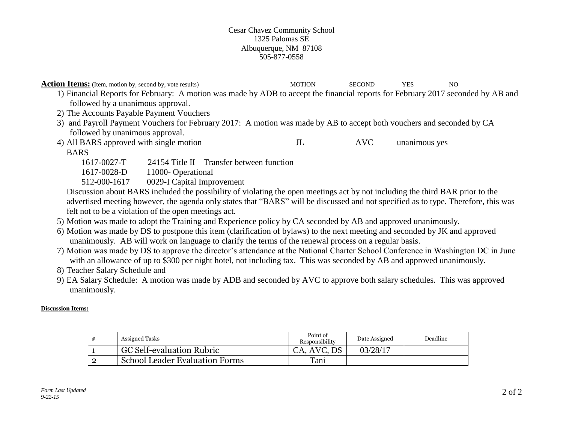### Cesar Chavez Community School 1325 Palomas SE Albuquerque, NM 87108 505-877-0558

**Action Items:** (Item, motion by, second by, vote results) MOTION SECOND YES NO

1) Financial Reports for February: A motion was made by ADB to accept the financial reports for February 2017 seconded by AB and followed by a unanimous approval.

- 2) The Accounts Payable Payment Vouchers
- 3) and Payroll Payment Vouchers for February 2017: A motion was made by AB to accept both vouchers and seconded by CA followed by unanimous approval.
- 4) All BARS approved with single motion JL AVC unanimous yes

## BARS

- 1617-0027-T 24154 Title II Transfer between function
- 1617-0028-D 11000- Operational
- 512-000-1617 0029-I Capital Improvement

Discussion about BARS included the possibility of violating the open meetings act by not including the third BAR prior to the advertised meeting however, the agenda only states that "BARS" will be discussed and not specified as to type. Therefore, this was felt not to be a violation of the open meetings act.

- 5) Motion was made to adopt the Training and Experience policy by CA seconded by AB and approved unanimously.
- 6) Motion was made by DS to postpone this item (clarification of bylaws) to the next meeting and seconded by JK and approved unanimously. AB will work on language to clarify the terms of the renewal process on a regular basis.
- 7) Motion was made by DS to approve the director's attendance at the National Charter School Conference in Washington DC in June with an allowance of up to \$300 per night hotel, not including tax. This was seconded by AB and approved unanimously.
- 8) Teacher Salary Schedule and
- 9) EA Salary Schedule: A motion was made by ADB and seconded by AVC to approve both salary schedules. This was approved unanimously.

## **Discussion Items:**

|  | <b>Assigned Tasks</b>                 | Point of<br>Responsibility | Date Assigned | Deadline |
|--|---------------------------------------|----------------------------|---------------|----------|
|  | <b>GC Self-evaluation Rubric</b>      | CA, AVC, DS                | 03/28/17      |          |
|  | <b>School Leader Evaluation Forms</b> | Tani                       |               |          |